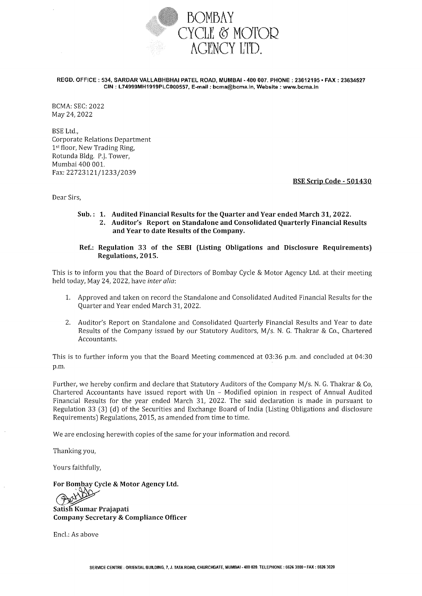

REGD. OFFICE: 534, SARDAR VALLABHBHAI PATEL ROAD, MUMBAI • 400 007. PHONE : 23612195 • FAX: 23634527 CIN: L74999MH1919PLC000557, E-mail: bcma@bcma.ln, Website: www.bcma.in

BCMA: SEC: 2022 May 24,2022

BSE Ltd., Corporate Relations Department 1st floor, New Trading Ring, Rotunda Bldg. P.J. Tower, Mumbai 400 001. Fax:22723121/1233/2039

BSE Scrip Code- 501430

Dear Sirs,

#### Sub.: 1. Audited Financial Results for the Quarter and Year ended March 31, 2022. 2. Auditor's Report on Standalone and Consolidated Quarterly Financial Results and Year to date Results of the Company.

#### Ref.: Regulation 33 of the SEBI (Listing Obligations and Disclosure Requirements) Regulations, 2015.

This is to inform you that the Board of Directors of Bombay Cycle & Motor Agency Ltd. at their meeting held today, May 24, 2022, have *inter alia:* 

- 1. Approved and taken on record the Standalone and Consolidated Audited Financial Results for the Quarter and Year ended March 31,2022.
- 2. Auditor's Report on Standalone and Consolidated Quarterly Financial Results and Year to date Results of the Company issued by our Statutory Auditors, M/s. N. G. Thakrar & Co., Chartered Accountants.

This is to further inform you that the Board Meeting commenced at 03:36 p.m. and concluded at 04:30 p.m.

Further, we hereby confirm and declare that Statutory Auditors of the Company M/s. N. G. Thakrar & Co, Chartered Accountants have issued report with Un - Modified opinion in respect of Annual Audited Financial Results for the year ended March 31, 2022. The said declaration is made in pursuant to Regulation 33 (3) (d) of the Securities and Exchange Board of India (Listing Obligations and disclosure Requirements) Regulations, 2015, as amended from time to time.

We are enclosing herewith copies of the same for your information and record.

Thanking you,

Yours faithfully,

For Bombay Cycle & Motor Agency Ltd.

Satish Kumar Prajapati Company Secretary & Compliance Officer

Encl.: As above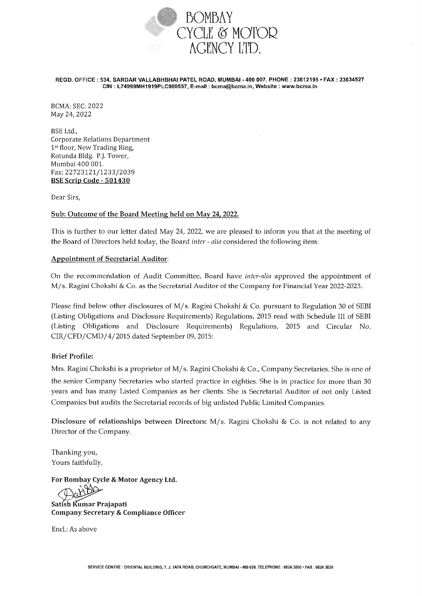

#### REGD. OFFiCE: 534, SARDAR VALLABHBHAI PATEL ROAD, MUMBAI • 400 007. PHONE: 23612195 • FAX: 23634527 CIN: L74999MH1919PLC000557, E-mail: bcma@bcma.in, Website: www.bcma.in

BCMA: SEC: 2022 May 24,2022

BSE Ltd., Corporate Relations Department 1st floor, New Trading Ring, Rotunda Bldg. P.J. Tower, Mumbai 400 001. Fax:22723121/1233/2039 BSE Scrip Code - 501430

Dear Sirs,

#### Sub: Outcome of the Board Meeting held on May 24, 2022.

This is further to our letter dated May 24, 2022, we are pleased to inform you that at the meeting of the Board of Directors held today, the Board *inter- alia* considered the following item:

#### Appointment of Secretarial Auditor:

On the recommendation of Audit Committee, Board have *inter-alia* approved the appointment of M/s. Ragini Chokshi & Co. as the Secretarial Auditor of the Company for Financial Year 2022-2023.

Please find below other disclosures of M/s. Ragini Chokshi & Co. pursuant to Regulation 30 of SEBI (Listing Obligations and Disclosure Requirements) Regulations, 2015 read with Schedule III of SEBI (Listing Obligations and Disclosure Requirements) Regulations, 2015 and Circular No. CIR/CFD/CMD/4/2015 dated September 09,2015:

#### Brief Profile:

Mrs. Ragini Chokshi is a proprietor of M/s. Ragini Chokshi & Co., Company Secretaries. She is one of the senior Company Secretaries who started practice in eighties. She is in practice for more than 30 years and has many Listed Companies as her clients. She is Secretarial Auditor of not only Listed Companies but audits the Secretarial records of big unlisted Public Limited Companies.

Disclosure of relationships between Directors: M/s. Ragini Chokshi & Co. is not related to any Director of the Company.

Thanking you, Yours faithfully,

For Bombay Cycle & Motor Agency Ltd.

Satish Kumar Prajapati Company Secretary & Compliance Officer

Encl.: As above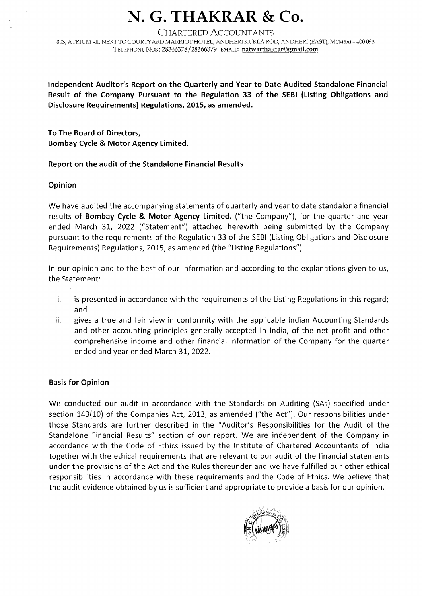# **N. G. THAKRAR & Co.**

CHARTERED ACCOUNTANTS

803, ATRIUM -II, NEXT TO COURTYARD MARRIOT HOTEL, ANDHERI KURLA ROD, ANDHERI (EAST), MUMBAI - 400 093 TELEPHONE Nos: 28366378/28366379 EMAIL: natwarthakrar@gmail.com

**Independent Auditor's Report on the Quarterly and Year to Date Audited Standalone Financial Result of the Company Pursuant to the Regulation 33 of the SEBI (Listing Obligations and Disclosure Requirements) Regulations, 2015, as amended.** 

**To The Board of Directors, Bombay Cycle & Motor Agency Limited.** 

### **Report on the audit of the Standalone Financial Results**

### **Opinion**

We have audited the accompanying statements of quarterly and year to date standalone financial results of **Bombay Cycle & Motor Agency Limited.** ("the Company"), for the quarter and year ended March 31, 2022 ("Statement") attached herewith being submitted by the Company pursuant to the requirements of the Regulation 33 of the SEBI (Listing Obligations and Disclosure Requirements) Regulations, 2015, as amended (the "Listing Regulations").

In our opinion and to the best of our information and according to the explanations given to us, the Statement:

- i. is presented in accordance with the requirements of the Listing Regulations in this regard; and
- ii. gives a true and fair view in conformity with the applicable Indian Accounting Standards and other accounting principles generally accepted In India, of the net profit and other comprehensive income and other financial information of the Company for the quarter ended and year ended March 31, 2022.

#### **Basis for Opinion**

We conducted our audit in accordance with the Standards on Auditing (SAs) specified under section 143(10) of the Companies Act, 2013, as amended ("the Act"). Our responsibilities under those Standards are further described in the "Auditor's Responsibilities for the Audit of the Standalone Financial Results" section of our report. We are independent of the Company in accordance with the Code of Ethics issued by the Institute of Chartered Accountants of India together with the ethical requirements that are relevant to our audit of the financial statements under the provisions of the Act and the Rules thereunder and we have fulfilled our other ethical responsibilities in accordance with these requirements and the Code of Ethics. We believe that the audit evidence obtained by us is sufficient and appropriate to provide a basis for our opinion.

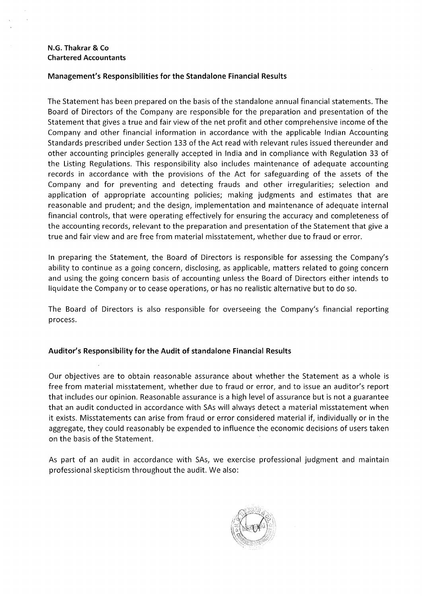#### **Management's Responsibilities for the Standalone Financial Results**

The Statement has been prepared on the basis of the standalone annual financial statements. The Board of Directors of the Company are responsible for the preparation and presentation of the Statement that gives a true and fair view of the net profit and other comprehensive income of the Company and other financial information in accordance with the applicable Indian Accounting Standards prescribed under Section 133 of the Act read with relevant rules issued thereunder and other accounting principles generally accepted in India and in compliance with Regulation 33 of the Listing Regulations. This responsibility also includes maintenance of adequate accounting records in accordance with the provisions of the Act for safeguarding of the assets of the Company and for preventing and detecting frauds and other irregularities; selection and application of appropriate accounting policies; making judgments and estimates that are reasonable and prudent; and the design, implementation and maintenance of adequate internal financial controls, that were operating effectively for ensuring the accuracy and completeness of the accounting records, relevant to the preparation and presentation of the Statement that give a true and fair view and are free from material misstatement, whether due to fraud or error.

In preparing the Statement, the Board of Directors is responsible for assessing the Company's ability to continue as a going concern, disclosing, as applicable, matters related to going concern and using the going concern basis of accounting unless the Board of Directors either intends to liquidate the Company or to cease operations, or has no realistic alternative but to do so.

The Board of Directors is also responsible for overseeing the Company's financial reporting process.

#### **Auditor's Responsibility for the Audit of standalone Financial Results**

Our objectives are to obtain reasonable assurance about whether the Statement as a whole is free from material misstatement, whether due to fraud or error, and to issue an auditor's report that includes our opinion. Reasonable assurance is a high level of assurance but is not a guarantee that an audit conducted in accordance with SAs will always detect a material misstatement when it exists. Misstatements can arise from fraud or error considered material if, individually or in the aggregate, they could reasonably be expended to influence the economic decisions of users taken on the basis of the Statement.

As part of an audit in accordance with SAs, we exercise professional judgment and maintain professional skepticism throughout the audit. We also:

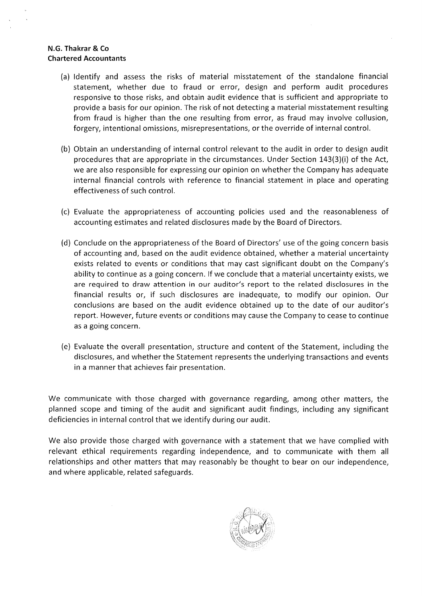- (a) Identify and assess the risks of material misstatement of the standalone financial statement, whether due to fraud or error, design and perform audit procedures responsive to those risks, and obtain audit evidence that is sufficient and appropriate to provide a basis for our opinion. The risk of not detecting a material misstatement resulting from fraud is higher than the one resulting from error, as fraud may involve collusion, forgery, intentional omissions, misrepresentations, or the override of internal control.
- (b) Obtain an understanding of internal control relevant to the audit in order to design audit procedures that are appropriate in the circumstances. Under Section 143(3)(i) of the Act, we are also responsible for expressing our opinion on whether the Company has adequate internal financial controls with reference to financial statement in place and operating effectiveness of such control.
- (c) Evaluate the appropriateness of accounting policies used and the reasonableness of accounting estimates and related disclosures made by the Board of Directors.
- (d) Conclude on the appropriateness of the Board of Directors' use of the going concern basis of accounting and, based on the audit evidence obtained, whether a material uncertainty exists related to events or conditions that may cast significant doubt on the Company's ability to continue as a going concern. If we conclude that a material uncertainty exists, we are required to draw attention in our auditor's report to the related disclosures in the financial results or, if such disclosures are inadequate, to modify our opinion. Our conclusions are based on the audit evidence obtained up to the date of our auditor's report. However, future events or conditions may cause the Company to cease to continue as a going concern.
- (e) Evaluate the overall presentation, structure and content of the Statement, including the disclosures, and whether the Statement represents the underlying transactions and events in a manner that achieves fair presentation.

We communicate with those charged with governance regarding, among other matters, the planned scope and timing of the audit and significant audit findings, including any significant deficiencies in internal control that we identify during our audit.

We also provide those charged with governance with a statement that we have complied with relevant ethical requirements regarding independence, and to communicate with them all relationships and other matters that may reasonably be thought to bear on our independence, and where applicable, related safeguards.

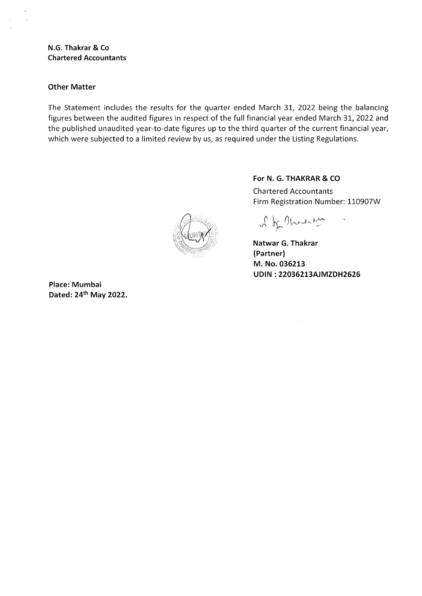#### **Other Matter**

The Statement includes the results for the quarter ended March 31, 2022 being the balancing figures between the audited figures in respect of the full financial year ended March 31, 2022 and the published unaudited year-to-date figures up to the third quarter of the current financial year, which were subjected to a limited review by us, as required under the Listing Regulations.

**For N. G. THAKRAR & CO**  Chartered Accountants Firm Registration Number: 110907W

of of There

**Natwar G. Thakrar (Partner) M. No. 036213 UDIN : 22036213AJMZDH2626** 

**Place: Mumbai Dated:** 24th **May 2022.**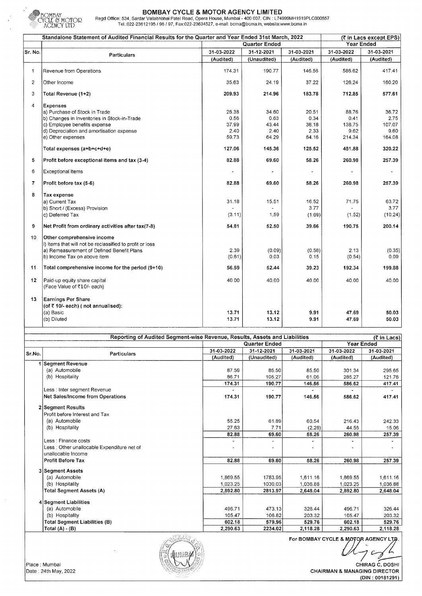

 $\mathbf{R}^{\mathbf{S}}$ 

BOMBAY CYCLE & MOTOR AGENCY LIMITED BOMI:Ji\Y Regd Office: 534, SardarVallabhbhai Patel Road, Opera House, Mumbai- 400 007. GIN: L74999MH1919PLC000557 Tei.:022-23612195 I 96 I 97, Fax:022-23634527, e-mail: bcma@bcma.in, website:www.bcma.in

|                | Standalone Statement of Audited Financial Results for the Quarter and Year Ended 31st March, 2022                                                                                                                              |                                                   | (₹ in Lacs except EPS)                            |                                                   |                                                     |                                                     |
|----------------|--------------------------------------------------------------------------------------------------------------------------------------------------------------------------------------------------------------------------------|---------------------------------------------------|---------------------------------------------------|---------------------------------------------------|-----------------------------------------------------|-----------------------------------------------------|
|                |                                                                                                                                                                                                                                |                                                   | Quarter Ended                                     |                                                   | <b>Year Ended</b>                                   |                                                     |
| Sr. No.        | Particulars                                                                                                                                                                                                                    | 31-03-2022                                        | 31-12-2021                                        | 31-03-2021                                        | 31-03-2022                                          | 31-03-2021                                          |
|                |                                                                                                                                                                                                                                | (Audited)                                         | (Unaudited)                                       | (Audited)                                         | (Audited)                                           | (Audited)                                           |
| 1              | Revenue from Operations                                                                                                                                                                                                        | 174.31                                            | 190.77                                            | 146.56                                            | 586.62                                              | 417.41                                              |
| $\overline{2}$ | Other Income                                                                                                                                                                                                                   | 35.63                                             | 24.19                                             | 37.22                                             | 126.24                                              | 160.20                                              |
| 3              | Total Revenue (1+2)                                                                                                                                                                                                            | 209.93                                            | 214.96                                            | 183.78                                            | 712.85                                              | 577.61                                              |
| 4              | <b>Expenses</b><br>a) Purchase of Stock in Trade<br>b) Changes in Inventories in Stock-in-Trade<br>c) Employee benefits expense<br>d) Depreciation and amortisation expense<br>e) Other expenses<br>Total expenses (a+b+c+d+e) | 26.38<br>0.56<br>37.99<br>2.40<br>59.73<br>127.06 | 34.60<br>0.63<br>43.44<br>2.40<br>64.29<br>145.36 | 20.51<br>0.34<br>38.18<br>2.33<br>64.16<br>125.52 | 88.76<br>0.41<br>138.75<br>9.62<br>214.34<br>451.88 | 36.72<br>2.75<br>107.07<br>9.60<br>164.08<br>320.22 |
| 5              | Profit before exceptional items and tax (3-4)                                                                                                                                                                                  | 82.88                                             | 69.60                                             | 58.26                                             | 260.98                                              | 257.39                                              |
| 6              | <b>Exceptional Items</b>                                                                                                                                                                                                       |                                                   |                                                   |                                                   |                                                     |                                                     |
| 7              | Profit before tax (5-6)                                                                                                                                                                                                        | 82.88                                             | 69.60                                             | 58.26                                             | 260.98                                              | 257.39                                              |
| 8              | <b>Tax expense</b><br>a) Current Tax<br>b) Short / (Excess) Provision<br>c) Deferred Tax                                                                                                                                       | 31.18<br>(3.11)                                   | 15.51<br>1.59                                     | 16.52<br>3.77<br>(1.69)                           | 71.75<br>(1.52)                                     | 63.72<br>3.77<br>(10.24)                            |
| 9              | Net Profit from ordinary activities after tax(7-8)                                                                                                                                                                             | 54.81                                             | 52.50                                             | 39.66                                             | 190.75                                              | 200.14                                              |
| 10             | Other comprehensive income<br>i) Items that will not be reclassified to profit or loss<br>a) Remeasurement of Defined Benefit Plans<br>b) Income Tax on above item                                                             | 2.39<br>(0.61)                                    | (0.09)<br>0.03                                    | (0.58)<br>0.15                                    | 2.13<br>(0.54)                                      | (0.35)<br>0.09                                      |
| 11             | Total comprehensive income for the period (9+10)                                                                                                                                                                               | 56.59                                             | 52.44                                             | 39.23                                             | 192.34                                              | 199.88                                              |
| 12             | Paid-up equity share capital<br>(Face Value of ₹10/- each)                                                                                                                                                                     | 40.00                                             | 40.00                                             | 40.00                                             | 40.00                                               | 40.00                                               |
| 13             | <b>Earnings Per Share</b><br>(of ₹ 10/- each) (not annualised):<br>(a) Basic<br>(b) Diluted                                                                                                                                    | 13.71<br>13.71                                    | 13.12<br>13.12                                    | 9.91<br>9.91                                      | 47.69<br>47.69                                      | 50.03<br>50.03                                      |

|        | Reporting of Audited Segment-wise Revenue, Results, Assets and Liabilities |            |                      |            |            | (₹ in Lacs) |
|--------|----------------------------------------------------------------------------|------------|----------------------|------------|------------|-------------|
|        |                                                                            |            | <b>Quarter Ended</b> |            |            |             |
| Sr.No. | Particulars                                                                | 31-03-2022 | 31-12-2021           | 31-03-2021 | 31-03-2022 | 31-03-2021  |
|        |                                                                            | (Audited)  | (Unaudited)          | (Audited)  | (Audited)  | (Audited)   |
|        | Segment Revenue                                                            |            |                      |            |            |             |
|        | (a) Automobile                                                             | 87.59      | 85.50                | 85.50      | 301.34     | 295.65      |
|        | (b) Hospitality                                                            | 86.71      | 105.27               | 61.06      | 285.27     | 121.76      |
|        |                                                                            | 174.31     | 190.77               | 146.56     | 586.62     | 417.41      |
|        | Less : Inter segment Revenue                                               |            |                      |            |            |             |
|        | Net Sales/Income from Operations                                           | 174.31     | 190.77               | 146.56     | 586.62     | 417.41      |
|        | 2 Segment Results                                                          |            |                      |            |            |             |
|        | Profit before Interest and Tax                                             |            |                      |            |            |             |
|        | (a) Automobile                                                             | 55.25      | 61.89                | 60.54      | 216.43     | 242.33      |
|        | (b) Hospitality                                                            | 27.63      | 7.71                 | (2.28)     | 44.55      | 15.06       |
|        |                                                                            | 82.88      | 69.60                | 58.26      | 260.98     | 257.39      |
|        | Less : Finance costs                                                       |            |                      |            |            |             |
|        | Less: Other unallocable Expenditure net of                                 |            |                      |            |            |             |
|        | unallocable Income                                                         |            |                      |            |            |             |
|        | <b>Profit Before Tax</b>                                                   | 82.88      | 69.60                | 58.26      | 260.98     | 257.39      |
|        | 3 Segment Assets                                                           |            |                      |            |            |             |
|        | (a) Automobile                                                             | 1,869.55   | 1783.95              | 1.611.16   | 1,869.55   | 1,611.16    |
|        | (b) Hospitality                                                            | 1,023.25   | 1030.03              | 1.036.88   | 1.023.25   | 1,036.88    |
|        | <b>Total Segment Assets (A)</b>                                            | 2,892.80   | 2813.97              | 2.648.04   | 2,892.80   | 2,648.04    |
|        | 4 Segment Liabilities                                                      |            |                      |            |            |             |
|        | (a) Automobile                                                             | 496.71     | 473.13               | 326.44     | 496.71     | 326.44      |
|        | (b) Hospitality                                                            | 105.47     | 106.82               | 203.32     | 105.47     | 203.32      |
|        | Total Segment Liabilities (B)                                              | 602.18     | 579.96               | 529.76     | 602.18     | 529.76      |
|        | Total $(A) - (B)$                                                          | 2.290.63   | 2234.02              | 2.118.28   | 2.290.63   | 2.118.28    |



For BOMBAY CYCLE & MOTOR AGENCY LTD.

L

Place : Mumbai CHIRAG C. DOSHI CHAIRMAN & MANAGING DIRECTOR (DIN : 00181291)

J,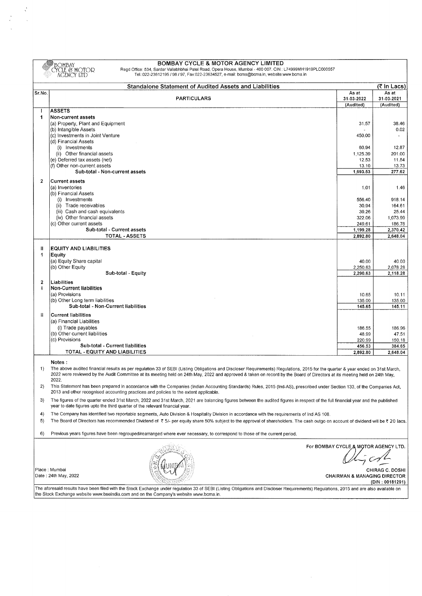|                     | <b>BOMBAY CYCLE &amp; MOTOR AGENCY LIMITED</b><br><b>BOMBAY</b><br>CYCLE & MOTOR<br>Regd Office: 534, Sardar Vallabhbhai Patel Road, Opera House, Mumbai - 400 007. CIN: L74999MH1919PLC000557<br>Tel.:022-23612195 / 96 / 97, Fax:022-23634527, e-mail: bcma@bcma.in, website:www.bcma.in<br>AGENCY LTD                                                     |                                         |                                  |
|---------------------|--------------------------------------------------------------------------------------------------------------------------------------------------------------------------------------------------------------------------------------------------------------------------------------------------------------------------------------------------------------|-----------------------------------------|----------------------------------|
|                     | <b>Standalone Statement of Audited Assets and Liabilities</b>                                                                                                                                                                                                                                                                                                |                                         | (₹ In Lacs)                      |
| Sr.No.              | <b>PARTICULARS</b>                                                                                                                                                                                                                                                                                                                                           | As at<br>31-03-2022<br>(Audited)        | As at<br>31-03-2021<br>(Audited) |
|                     | <b>ASSETS</b>                                                                                                                                                                                                                                                                                                                                                |                                         |                                  |
| 1                   | Non-current assets                                                                                                                                                                                                                                                                                                                                           |                                         |                                  |
|                     | (a) Property, Plant and Equipment<br>(b) Intangible Assets                                                                                                                                                                                                                                                                                                   | 31.57                                   | 38.46<br>0.02                    |
|                     | (c) Investments in Joint Venture                                                                                                                                                                                                                                                                                                                             | 450.00                                  |                                  |
|                     | (d) Financial Assets                                                                                                                                                                                                                                                                                                                                         |                                         |                                  |
|                     | (i) Investments                                                                                                                                                                                                                                                                                                                                              | 60.94                                   | 12.87                            |
|                     | (ii) Other financial assets<br>(e) Deferred tax assets (net)                                                                                                                                                                                                                                                                                                 | 1,125.39<br>12.53                       | 201.00<br>11.54                  |
|                     | (f) Other non-current assets                                                                                                                                                                                                                                                                                                                                 | 13.10                                   | 13.73                            |
|                     | Sub-total - Non-current assets                                                                                                                                                                                                                                                                                                                               | 1,693.53                                | 277.62                           |
| $\overline{2}$      | <b>Current assets</b>                                                                                                                                                                                                                                                                                                                                        |                                         |                                  |
|                     | (a) Inventories                                                                                                                                                                                                                                                                                                                                              | 1.01                                    | 1.46                             |
|                     | (b) Financial Assets                                                                                                                                                                                                                                                                                                                                         |                                         |                                  |
|                     | (i) Investments                                                                                                                                                                                                                                                                                                                                              | 556.40                                  | 918.14                           |
|                     | (ii) Trade receivables<br>(iii) Cash and cash equivalents                                                                                                                                                                                                                                                                                                    | 30.94<br>39.26                          | 164.61<br>25.44                  |
|                     | (iv) Other financial assets                                                                                                                                                                                                                                                                                                                                  | 322.06                                  | 1,073.99                         |
|                     | (c) Other current assets                                                                                                                                                                                                                                                                                                                                     | 249.61                                  | 186.78                           |
|                     | Sub-total - Current assets                                                                                                                                                                                                                                                                                                                                   | 1,199.28                                | 2,370.42                         |
|                     | <b>TOTAL - ASSETS</b>                                                                                                                                                                                                                                                                                                                                        | 2,892.80                                | 2,648.04                         |
| Ш                   | <b>EQUITY AND LIABILITIES</b>                                                                                                                                                                                                                                                                                                                                |                                         |                                  |
| 1                   | Equity                                                                                                                                                                                                                                                                                                                                                       |                                         |                                  |
|                     | (a) Equity Share capital                                                                                                                                                                                                                                                                                                                                     | 40.00                                   | 40.00                            |
|                     | (b) Other Equity                                                                                                                                                                                                                                                                                                                                             | 2,250.63                                | 2,078.28                         |
|                     | Sub-total - Equity                                                                                                                                                                                                                                                                                                                                           | 2,290.63                                | 2,118.28                         |
| $\overline{2}$<br>j | Liabilities<br><b>Non-Current liabilities</b>                                                                                                                                                                                                                                                                                                                |                                         |                                  |
|                     | (a) Provisions                                                                                                                                                                                                                                                                                                                                               | 10.65                                   | 10.11                            |
|                     | (b) Other Long term liabilities                                                                                                                                                                                                                                                                                                                              | 135.00                                  | 135.00                           |
|                     | Sub-total - Non-Current liabilities                                                                                                                                                                                                                                                                                                                          | 145.65                                  | 145.11                           |
| Ιi                  | <b>Current liabilities</b>                                                                                                                                                                                                                                                                                                                                   |                                         |                                  |
|                     | (a) Financial Liabilities                                                                                                                                                                                                                                                                                                                                    |                                         |                                  |
|                     | (i) Trade payables                                                                                                                                                                                                                                                                                                                                           | 186.55                                  | 186.96                           |
|                     | (b) Other current liabilities<br>(c) Provisions                                                                                                                                                                                                                                                                                                              | 48.99<br>220.99                         | 47.51<br>150.18                  |
|                     | Sub-total - Current liabilities                                                                                                                                                                                                                                                                                                                              | 456.53                                  | 384.65                           |
|                     | TOTAL - EQUITY AND LIABILITIES                                                                                                                                                                                                                                                                                                                               | 2,892.80                                | 2,648.04                         |
|                     | Notes :                                                                                                                                                                                                                                                                                                                                                      |                                         |                                  |
| 1)                  | The above audited financial results as per regulation 33 of SEBI (Listing Obligations and Discloser Requirements) Regulations, 2015 for the quarter & year ended on 31st March,<br>2022 were reviewed by the Audit Committee at its meeting held on 24th May, 2022 and approved & taken on record by the Board of Directors at its meeting held on 24th May, |                                         |                                  |
| 2)                  | 2022.<br>This Statement has been prepared in accordance with the Companies (Indian Accounting Standards) Rules, 2015 (Ind-AS), prescribed under Section 133, of the Companies Act,<br>2013 and other recognised accounting practices and policies to the extent applicable.                                                                                  |                                         |                                  |
| 3)                  | The figures of the quarter ended 31st March, 2022 and 31st March, 2021 are balancing figures between the audited figures in respect of the full financial year and the published<br>year to date figures upto the third quarter of the relevant financial year.                                                                                              |                                         |                                  |
| 4)                  | The Company has identified two reportable segments, Auto Division & Hospitality Division in accordance with the requirements of Ind AS 108.                                                                                                                                                                                                                  |                                         |                                  |
| 5)                  | The Board of Directors has recommended Dividend of $\bar{\tau}$ 5/- per equity share 50% subject to the approval of shareholders. The cash outgo on account of dividend will be $\bar{\tau}$ 20 lacs.                                                                                                                                                        |                                         |                                  |
| 6)                  | Previous years figures have been regrouped/rearranged where ever necessary, to correspond to those of the current period.                                                                                                                                                                                                                                    |                                         |                                  |
|                     |                                                                                                                                                                                                                                                                                                                                                              | For BOMBAY CYCLE & MOTOR AGENCY LTD.    |                                  |
|                     |                                                                                                                                                                                                                                                                                                                                                              |                                         |                                  |
|                     |                                                                                                                                                                                                                                                                                                                                                              |                                         |                                  |
|                     | Place: Mumbai                                                                                                                                                                                                                                                                                                                                                |                                         | CHIRAG C. DOSHI                  |
|                     | Date: 24th May, 2022                                                                                                                                                                                                                                                                                                                                         | <b>CHAIRMAN &amp; MANAGING DIRECTOR</b> | (DIN: 00181291)                  |
|                     | The aforesaid results have been filed with the Stock Exchange under regulation 33 of SEBI (Listing Obligations and Discloser Requirements) Regulations, 2015 and are also available on<br>the Stock Exchange website www.bseindia.com and on the Company's website www.bcma.in.                                                                              |                                         |                                  |

 $\mathcal{L}^{\text{max}}_{\text{max}}$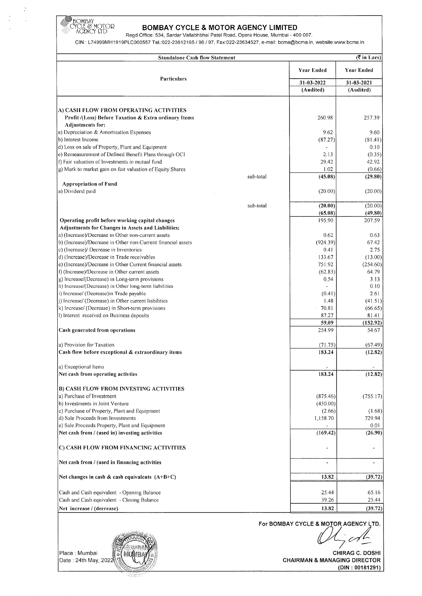

 $\frac{1}{2}$ 

 $\frac{1}{\sqrt{2}}$ 

#### t\CENCY LTD **BOMBAY CYCLE & MOTOR AGENCY LIMITED**

Regd Office: 534, Sardar Vallabhbhai Patel Road, Opera House, Mumbai- 400 007.

CIN : L74999MH1919PLC000557 Tei.:022-23612195 I 96 /97, Fax:022-23634527, e-mail: bcma@bcma.in, website:www.bcma.in

| <b>Year Ended</b><br>Particulars<br>31-03-2022<br>31-03-2021<br>(Audited)<br>260.98<br>Profit /(Loss) Before Taxation & Extra ordinary Items<br><b>Adjustments for:</b><br>a) Depreciation & Amortisation Expenses<br>9.62<br>b) Interest Income<br>(87.27)<br>d) Loss on sale of Property, Plant and Equipment<br>2.13<br>29.42<br>1.02<br>(45.08)<br>sub-total<br><b>Appropriation of Fund</b><br>(20.00)<br>(20.00)<br>sub-total<br>(65.08)<br>195.90<br>0.62<br>(924.39)<br>0.41<br>133.67<br>751.92<br>f) (Increase)/Decrease in Other current assets<br>(62.83)<br>g) Increase/(Decrease) in Long-term provisions<br>0.54<br>h) Increase/(Decrease) in Other long-term liabilities<br>i) Increase/ (Decrease) in Trade payable<br>(0.41)<br>j) Increase/ (Decrease) in Other current liabilities<br>1.48<br>k) Increase/ (Decrease) in Short-term provisions<br>70.81<br>87.27<br>1) Interest received on Business deposits<br>59.09<br>254.99<br>a) Provision for Taxation<br>(71.75)<br>183.24<br>Cash flow before exceptional & extraordinary items<br>Net cash from operating activities<br>183.24<br>(875.46)<br>(450.00)<br>(2.66)<br>1,158.70<br>(169.42)<br>Net cash from / (used in) investing activities<br>13.82<br>Cash and Cash equivalent - Opening Balance<br>25.44<br>Cash and Cash equivalent - Closing Balance<br>39.26<br>13.82<br>Net increase / (decrease)<br>For BOMBAY CYCLE & MOTOR AGENCY LTD. | <b>Standalone Cash flow Statement</b>                        |  | (₹ in Lacs)       |  |
|-------------------------------------------------------------------------------------------------------------------------------------------------------------------------------------------------------------------------------------------------------------------------------------------------------------------------------------------------------------------------------------------------------------------------------------------------------------------------------------------------------------------------------------------------------------------------------------------------------------------------------------------------------------------------------------------------------------------------------------------------------------------------------------------------------------------------------------------------------------------------------------------------------------------------------------------------------------------------------------------------------------------------------------------------------------------------------------------------------------------------------------------------------------------------------------------------------------------------------------------------------------------------------------------------------------------------------------------------------------------------------------------------------------------------------|--------------------------------------------------------------|--|-------------------|--|
|                                                                                                                                                                                                                                                                                                                                                                                                                                                                                                                                                                                                                                                                                                                                                                                                                                                                                                                                                                                                                                                                                                                                                                                                                                                                                                                                                                                                                               |                                                              |  | Year Ended        |  |
|                                                                                                                                                                                                                                                                                                                                                                                                                                                                                                                                                                                                                                                                                                                                                                                                                                                                                                                                                                                                                                                                                                                                                                                                                                                                                                                                                                                                                               |                                                              |  |                   |  |
|                                                                                                                                                                                                                                                                                                                                                                                                                                                                                                                                                                                                                                                                                                                                                                                                                                                                                                                                                                                                                                                                                                                                                                                                                                                                                                                                                                                                                               |                                                              |  | (Audited)         |  |
|                                                                                                                                                                                                                                                                                                                                                                                                                                                                                                                                                                                                                                                                                                                                                                                                                                                                                                                                                                                                                                                                                                                                                                                                                                                                                                                                                                                                                               |                                                              |  |                   |  |
|                                                                                                                                                                                                                                                                                                                                                                                                                                                                                                                                                                                                                                                                                                                                                                                                                                                                                                                                                                                                                                                                                                                                                                                                                                                                                                                                                                                                                               | A) CASH FLOW FROM OPERATING ACTIVITIES                       |  |                   |  |
|                                                                                                                                                                                                                                                                                                                                                                                                                                                                                                                                                                                                                                                                                                                                                                                                                                                                                                                                                                                                                                                                                                                                                                                                                                                                                                                                                                                                                               |                                                              |  | 257.39            |  |
|                                                                                                                                                                                                                                                                                                                                                                                                                                                                                                                                                                                                                                                                                                                                                                                                                                                                                                                                                                                                                                                                                                                                                                                                                                                                                                                                                                                                                               |                                                              |  | 9.60              |  |
|                                                                                                                                                                                                                                                                                                                                                                                                                                                                                                                                                                                                                                                                                                                                                                                                                                                                                                                                                                                                                                                                                                                                                                                                                                                                                                                                                                                                                               |                                                              |  | (81.41)           |  |
|                                                                                                                                                                                                                                                                                                                                                                                                                                                                                                                                                                                                                                                                                                                                                                                                                                                                                                                                                                                                                                                                                                                                                                                                                                                                                                                                                                                                                               |                                                              |  | 0.10              |  |
|                                                                                                                                                                                                                                                                                                                                                                                                                                                                                                                                                                                                                                                                                                                                                                                                                                                                                                                                                                                                                                                                                                                                                                                                                                                                                                                                                                                                                               | e) Remeasurement of Defined Benefit Plans through OCI        |  | (0.35)            |  |
|                                                                                                                                                                                                                                                                                                                                                                                                                                                                                                                                                                                                                                                                                                                                                                                                                                                                                                                                                                                                                                                                                                                                                                                                                                                                                                                                                                                                                               | f) Fair valuation of Investments in mutual fund              |  | 42.92             |  |
|                                                                                                                                                                                                                                                                                                                                                                                                                                                                                                                                                                                                                                                                                                                                                                                                                                                                                                                                                                                                                                                                                                                                                                                                                                                                                                                                                                                                                               | g) Mark to market gain on fair valuation of Equity Shares    |  | (0.66)            |  |
|                                                                                                                                                                                                                                                                                                                                                                                                                                                                                                                                                                                                                                                                                                                                                                                                                                                                                                                                                                                                                                                                                                                                                                                                                                                                                                                                                                                                                               |                                                              |  | (29.80)           |  |
|                                                                                                                                                                                                                                                                                                                                                                                                                                                                                                                                                                                                                                                                                                                                                                                                                                                                                                                                                                                                                                                                                                                                                                                                                                                                                                                                                                                                                               |                                                              |  |                   |  |
|                                                                                                                                                                                                                                                                                                                                                                                                                                                                                                                                                                                                                                                                                                                                                                                                                                                                                                                                                                                                                                                                                                                                                                                                                                                                                                                                                                                                                               | a) Dividend paid                                             |  | (20.00)           |  |
|                                                                                                                                                                                                                                                                                                                                                                                                                                                                                                                                                                                                                                                                                                                                                                                                                                                                                                                                                                                                                                                                                                                                                                                                                                                                                                                                                                                                                               |                                                              |  | (20.00)           |  |
|                                                                                                                                                                                                                                                                                                                                                                                                                                                                                                                                                                                                                                                                                                                                                                                                                                                                                                                                                                                                                                                                                                                                                                                                                                                                                                                                                                                                                               |                                                              |  | (49.80)           |  |
|                                                                                                                                                                                                                                                                                                                                                                                                                                                                                                                                                                                                                                                                                                                                                                                                                                                                                                                                                                                                                                                                                                                                                                                                                                                                                                                                                                                                                               | Operating profit before working capital changes              |  | 207.59            |  |
|                                                                                                                                                                                                                                                                                                                                                                                                                                                                                                                                                                                                                                                                                                                                                                                                                                                                                                                                                                                                                                                                                                                                                                                                                                                                                                                                                                                                                               | Adjustments for Changes in Assets and Liabilities:           |  |                   |  |
|                                                                                                                                                                                                                                                                                                                                                                                                                                                                                                                                                                                                                                                                                                                                                                                                                                                                                                                                                                                                                                                                                                                                                                                                                                                                                                                                                                                                                               | a) (Increase)/Decrease in Other non-current assets           |  | 0.63              |  |
|                                                                                                                                                                                                                                                                                                                                                                                                                                                                                                                                                                                                                                                                                                                                                                                                                                                                                                                                                                                                                                                                                                                                                                                                                                                                                                                                                                                                                               | b) (Increase)/Decrease in Other non-Current financial assets |  | 67.42             |  |
|                                                                                                                                                                                                                                                                                                                                                                                                                                                                                                                                                                                                                                                                                                                                                                                                                                                                                                                                                                                                                                                                                                                                                                                                                                                                                                                                                                                                                               | c) (Increase)/ Decrease in Inventories                       |  | 2.75              |  |
|                                                                                                                                                                                                                                                                                                                                                                                                                                                                                                                                                                                                                                                                                                                                                                                                                                                                                                                                                                                                                                                                                                                                                                                                                                                                                                                                                                                                                               | d) (Increase)/Decrease in Trade receivables                  |  | (13.00)           |  |
|                                                                                                                                                                                                                                                                                                                                                                                                                                                                                                                                                                                                                                                                                                                                                                                                                                                                                                                                                                                                                                                                                                                                                                                                                                                                                                                                                                                                                               | e) (Increase)/Decrease in Other Current financial assets     |  | (254.60)          |  |
|                                                                                                                                                                                                                                                                                                                                                                                                                                                                                                                                                                                                                                                                                                                                                                                                                                                                                                                                                                                                                                                                                                                                                                                                                                                                                                                                                                                                                               |                                                              |  | 64.79             |  |
|                                                                                                                                                                                                                                                                                                                                                                                                                                                                                                                                                                                                                                                                                                                                                                                                                                                                                                                                                                                                                                                                                                                                                                                                                                                                                                                                                                                                                               |                                                              |  | 3.13              |  |
|                                                                                                                                                                                                                                                                                                                                                                                                                                                                                                                                                                                                                                                                                                                                                                                                                                                                                                                                                                                                                                                                                                                                                                                                                                                                                                                                                                                                                               |                                                              |  | 0.10              |  |
|                                                                                                                                                                                                                                                                                                                                                                                                                                                                                                                                                                                                                                                                                                                                                                                                                                                                                                                                                                                                                                                                                                                                                                                                                                                                                                                                                                                                                               |                                                              |  | 2.61<br>(41.51)   |  |
|                                                                                                                                                                                                                                                                                                                                                                                                                                                                                                                                                                                                                                                                                                                                                                                                                                                                                                                                                                                                                                                                                                                                                                                                                                                                                                                                                                                                                               |                                                              |  | (66.65)           |  |
|                                                                                                                                                                                                                                                                                                                                                                                                                                                                                                                                                                                                                                                                                                                                                                                                                                                                                                                                                                                                                                                                                                                                                                                                                                                                                                                                                                                                                               |                                                              |  | 81.41             |  |
|                                                                                                                                                                                                                                                                                                                                                                                                                                                                                                                                                                                                                                                                                                                                                                                                                                                                                                                                                                                                                                                                                                                                                                                                                                                                                                                                                                                                                               |                                                              |  | (152.92)          |  |
|                                                                                                                                                                                                                                                                                                                                                                                                                                                                                                                                                                                                                                                                                                                                                                                                                                                                                                                                                                                                                                                                                                                                                                                                                                                                                                                                                                                                                               | Cash generated from operations                               |  | 54.67             |  |
|                                                                                                                                                                                                                                                                                                                                                                                                                                                                                                                                                                                                                                                                                                                                                                                                                                                                                                                                                                                                                                                                                                                                                                                                                                                                                                                                                                                                                               |                                                              |  | (67.49)           |  |
|                                                                                                                                                                                                                                                                                                                                                                                                                                                                                                                                                                                                                                                                                                                                                                                                                                                                                                                                                                                                                                                                                                                                                                                                                                                                                                                                                                                                                               |                                                              |  | (12.82)           |  |
|                                                                                                                                                                                                                                                                                                                                                                                                                                                                                                                                                                                                                                                                                                                                                                                                                                                                                                                                                                                                                                                                                                                                                                                                                                                                                                                                                                                                                               |                                                              |  |                   |  |
|                                                                                                                                                                                                                                                                                                                                                                                                                                                                                                                                                                                                                                                                                                                                                                                                                                                                                                                                                                                                                                                                                                                                                                                                                                                                                                                                                                                                                               | a) Exceptional Items                                         |  |                   |  |
|                                                                                                                                                                                                                                                                                                                                                                                                                                                                                                                                                                                                                                                                                                                                                                                                                                                                                                                                                                                                                                                                                                                                                                                                                                                                                                                                                                                                                               |                                                              |  | (12.82)           |  |
|                                                                                                                                                                                                                                                                                                                                                                                                                                                                                                                                                                                                                                                                                                                                                                                                                                                                                                                                                                                                                                                                                                                                                                                                                                                                                                                                                                                                                               | B) CASH FLOW FROM INVESTING ACTIVITIES                       |  |                   |  |
|                                                                                                                                                                                                                                                                                                                                                                                                                                                                                                                                                                                                                                                                                                                                                                                                                                                                                                                                                                                                                                                                                                                                                                                                                                                                                                                                                                                                                               | a) Purchase of Investment                                    |  | (755.17)          |  |
|                                                                                                                                                                                                                                                                                                                                                                                                                                                                                                                                                                                                                                                                                                                                                                                                                                                                                                                                                                                                                                                                                                                                                                                                                                                                                                                                                                                                                               | b) Investments in Joint Venture                              |  |                   |  |
|                                                                                                                                                                                                                                                                                                                                                                                                                                                                                                                                                                                                                                                                                                                                                                                                                                                                                                                                                                                                                                                                                                                                                                                                                                                                                                                                                                                                                               | c) Purchase of Property, Plant and Equipment                 |  | (1.68)            |  |
|                                                                                                                                                                                                                                                                                                                                                                                                                                                                                                                                                                                                                                                                                                                                                                                                                                                                                                                                                                                                                                                                                                                                                                                                                                                                                                                                                                                                                               | d) Sale Proceeds from Investments                            |  | 729.94            |  |
|                                                                                                                                                                                                                                                                                                                                                                                                                                                                                                                                                                                                                                                                                                                                                                                                                                                                                                                                                                                                                                                                                                                                                                                                                                                                                                                                                                                                                               | e) Sale Proceeds Property, Plant and Equipment               |  | 0.01              |  |
|                                                                                                                                                                                                                                                                                                                                                                                                                                                                                                                                                                                                                                                                                                                                                                                                                                                                                                                                                                                                                                                                                                                                                                                                                                                                                                                                                                                                                               |                                                              |  | (26.90)           |  |
|                                                                                                                                                                                                                                                                                                                                                                                                                                                                                                                                                                                                                                                                                                                                                                                                                                                                                                                                                                                                                                                                                                                                                                                                                                                                                                                                                                                                                               | C) CASH FLOW FROM FINANCING ACTIVITIES                       |  |                   |  |
|                                                                                                                                                                                                                                                                                                                                                                                                                                                                                                                                                                                                                                                                                                                                                                                                                                                                                                                                                                                                                                                                                                                                                                                                                                                                                                                                                                                                                               | Net cash from / (used in financing activities                |  | $\blacksquare$    |  |
|                                                                                                                                                                                                                                                                                                                                                                                                                                                                                                                                                                                                                                                                                                                                                                                                                                                                                                                                                                                                                                                                                                                                                                                                                                                                                                                                                                                                                               | Net changes in cash & cash equivalents $(A+B+C)$             |  | (39.72)           |  |
|                                                                                                                                                                                                                                                                                                                                                                                                                                                                                                                                                                                                                                                                                                                                                                                                                                                                                                                                                                                                                                                                                                                                                                                                                                                                                                                                                                                                                               |                                                              |  |                   |  |
|                                                                                                                                                                                                                                                                                                                                                                                                                                                                                                                                                                                                                                                                                                                                                                                                                                                                                                                                                                                                                                                                                                                                                                                                                                                                                                                                                                                                                               |                                                              |  | 65.16             |  |
|                                                                                                                                                                                                                                                                                                                                                                                                                                                                                                                                                                                                                                                                                                                                                                                                                                                                                                                                                                                                                                                                                                                                                                                                                                                                                                                                                                                                                               |                                                              |  | 25.44             |  |
|                                                                                                                                                                                                                                                                                                                                                                                                                                                                                                                                                                                                                                                                                                                                                                                                                                                                                                                                                                                                                                                                                                                                                                                                                                                                                                                                                                                                                               |                                                              |  | (39.72)           |  |
|                                                                                                                                                                                                                                                                                                                                                                                                                                                                                                                                                                                                                                                                                                                                                                                                                                                                                                                                                                                                                                                                                                                                                                                                                                                                                                                                                                                                                               |                                                              |  |                   |  |
|                                                                                                                                                                                                                                                                                                                                                                                                                                                                                                                                                                                                                                                                                                                                                                                                                                                                                                                                                                                                                                                                                                                                                                                                                                                                                                                                                                                                                               |                                                              |  |                   |  |
|                                                                                                                                                                                                                                                                                                                                                                                                                                                                                                                                                                                                                                                                                                                                                                                                                                                                                                                                                                                                                                                                                                                                                                                                                                                                                                                                                                                                                               |                                                              |  | $\frac{1}{2}$ col |  |

Place : Mumbai MUME  $\vec{x}$ Date : 24th May, 202

CHIRAG C. DOSHI CHAIRMAN & MANAGING DIRECTOR (DIN: 00181291)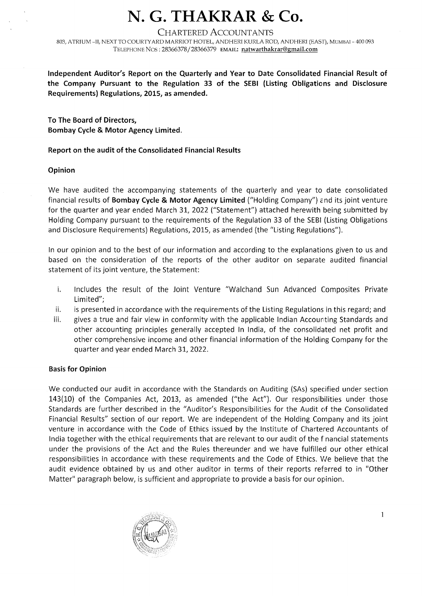## **N. G. THAKRAR & Co.**

#### CHARTERED ACCOUNTANTS

803, ATRIUM -II, NEXT TO COURTY ARD MARRIOT HOTEL, ANDHERI KURLA ROD, ANDHERI (EAST), MUMBAI - 400 093 TELEPHONE Nos: 28366378/28366379 EMAIL: natwarthakrar@gmail.com

**Independent Auditor's Report on the Quarterly and Year to Date Consolidated Financial Result of the Company Pursuant to the Regulation 33 of the SEBI (Listing Obligations and Disclosure Requirements) Regulations, 2015, as amended.** 

**To The Board of Directors, Bombay Cycle & Motor Agency Limited.** 

#### **Report on the audit of the Consolidated Financial Results**

#### **Opinion**

We have audited the accompanying statements of the quarterly and year to date consolidated financial results of **Bombay Cycle & Motor Agency Limited** ("Holding Company") *c* nd its joint venture for the quarter and year ended March 31, 2022 ("Statement") attached herewith being submitted by Holding Company pursuant to the requirements of the Regulation 33 of the SEBI (Listing Obligations and Disclosure Requirements) Regulations, 2015, as amended (the "Listing Regulations").

In our opinion and to the best of our information and according to the explanations given to us and based on the consideration of the reports of the other auditor on separate audited financial statement of its joint venture, the Statement:

- i. Includes the result of the Joint Venture "Walchand Sun Advanced Composites Private Limited";
- ii. is presented in accordance with the requirements of the Listing Regulations in this regard; and
- iii. gives a true and fair view in conformity with the applicable Indian Accounting Standards and other accounting principles generally accepted In India, of the consolidated net profit and other comprehensive income and other financial information of the Holding Company for the quarter and year ended March 31, 2022.

#### **Basis for Opinion**

We conducted our audit in accordance with the Standards on Auditing (SAs) specified under section 143(10) of the Companies Act, 2013, as amended ("the Act"). Our responsibilities under those Standards are further described in the "Auditor's Responsibilities for the Audit of the Consolidated Financial Results" section of our report. We are independent of the Holding Company and its joint venture in accordance with the Code of Ethics issued by the Institute of Chartered Accountants of India together with the ethical requirements that are relevant to our audit of the f nancial statements under the provisions of the Act and the Rules thereunder and we have fulfilled our other ethical responsibilities in accordance with these requirements and the Code of Ethics. We believe that the audit evidence obtained by us and other auditor in terms of their reports referred to in "Other Matter" paragraph below, is sufficient and appropriate to provide a basis for our opinion.

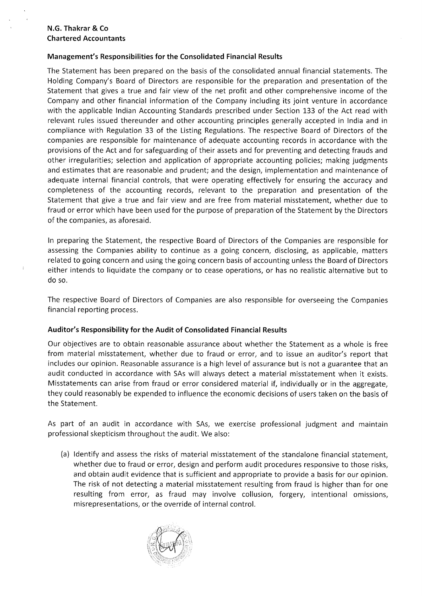#### **Management's Responsibilities for the Consolidated Financial Results**

The Statement has been prepared on the basis of the consolidated annual financial statements. The Holding Company's Board of Directors are responsible for the preparation and presentation of the Statement that gives a true and fair view of the net profit and other comprehensive income of the Company and other financial information of the Company including its joint venture in accordance with the applicable Indian Accounting Standards prescribed under Section 133 of the Act read with relevant rules issued thereunder and other accounting principles generally accepted in India and in compliance with Regulation 33 of the Listing Regulations. The respective Board of Directors of the companies are responsible for maintenance of adequate accounting records in accordance with the provisions of the Act and for safeguarding of their assets and for preventing and detecting frauds and other irregularities; selection and application of appropriate accounting policies; making judgments and estimates that are reasonable and prudent; and the design, implementation and maintenance of adequate internal financial controls, that were operating effectively for ensuring the accuracy and completeness of the accounting records, relevant to the preparation and presentation of the Statement that give a true and fair view and are free from material misstatement, whether due to fraud or error which have been used for the purpose of preparation of the Statement by the Directors of the companies, as aforesaid.

In preparing the Statement, the respective Board of Directors of the Companies are responsible for assessing the Companies ability to continue as a going concern, disclosing, as applicable, matters related to going concern and using the going concern basis of accounting unless the Board of Directors either intends to liquidate the company or to cease operations, or has no realistic alternative but to do so.

The respective Board of Directors of Companies are also responsible for overseeing the Companies financial reporting process.

#### **Auditor's Responsibility for the Audit of Consolidated Financial Results**

Our objectives are to obtain reasonable assurance about whether the Statement as a whole is free from material misstatement, whether due to fraud or error, and to issue an auditor's report that includes our opinion. Reasonable assurance is a high level of assurance but is not a guarantee that an audit conducted in accordance with SAs will always detect a material misstatement when it exists. Misstatements can arise from fraud or error considered material if, individually or in the aggregate, they could reasonably be expended to influence the economic decisions of users taken on the basis of the Statement.

As part of an audit in accordance with SAs, we exercise professional judgment and maintain professional skepticism throughout the audit. We also:

(a) Identify and assess the risks of material misstatement of the standalone financial statement, whether due to fraud or error, design and perform audit procedures responsive to those risks, and obtain audit evidence that is sufficient and appropriate to provide a basis for our opinion. The risk of not detecting a material misstatement resulting from fraud is higher than for one resulting from error, as fraud may involve collusion, forgery, intentional omissions, misrepresentations, or the override of internal control.

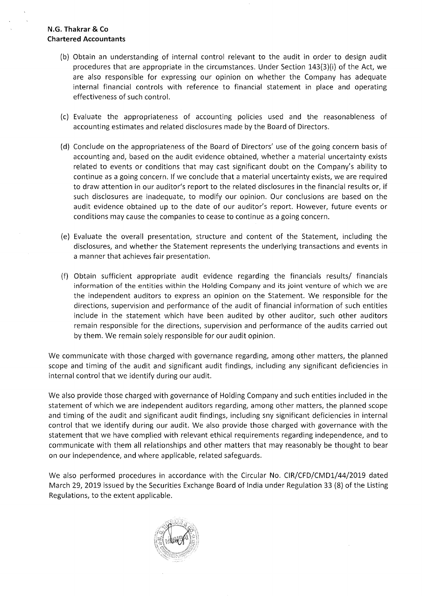- (b) Obtain an understanding of internal control relevant to the audit in order to design audit procedures that are appropriate in the circumstances. Under Section 143(3)(i) of the Act, we are also responsible for expressing our opinion on whether the Company has adequate internal financial controls with reference to financial statement in place and operating effectiveness of such control.
- (c) Evaluate the appropriateness of accounting policies used and the reasonableness of accounting estimates and related disclosures made by the Board of Directors.
- (d) Conclude on the appropriateness of the Board of Directors' use of the going concern basis of accounting and, based on the audit evidence obtained, whether a material uncertainty exists related to events or conditions that may cast significant doubt on the Company's ability to continue as a going concern. If we conclude that a material uncertainty exists, we are required to draw attention in our auditor's report to the related disclosures in the financial results or, if such disclosures are inadequate, to modify our opinion. Our conclusions are based on the audit evidence obtained up to the date of our auditor's report. However, future events or conditions may cause the companies to cease to continue as a going concern.
- (e) Evaluate the overall presentation, structure and content of the Statement, including the disclosures, and whether the Statement represents the underlying transactions and events in a manner that achieves fair presentation.
- (f) Obtain sufficient appropriate audit evidence regarding the financials results/ financials information of the entities within the Holding Company and its joint venture of which we are the independent auditors to express an opinion on the Statement. We responsible for the directions, supervision and performance of the audit of financial information of such entities include in the statement which have been audited by other auditor, such other auditors remain responsible for the directions, supervision and performance of the audits carried out by them. We remain solely responsible for our audit opinion.

We communicate with those charged with governance regarding, among other matters, the planned scope and timing of the audit and significant audit findings, including any significant deficiencies in internal control that we identify during our audit.

We also provide those charged with governance of Holding Company and such entities included in the statement of which we are independent auditors regarding, among other matters, the planned scope and timing of the audit and significant audit findings, including sny significant deficiencies in internal control that we identify during our audit. We also provide those charged with governance with the statement that we have complied with relevant ethical requirements regarding independence, and to communicate with them **all** relationships and other matters that may reasonably be thought to bear on our independence, and where applicable, related safeguards.

We also performed procedures in accordance with the Circular No. CIR/CFD/CMD1/44/2019 dated March 29, 2019 issued by the Securities Exchange Board of India under Regulation 33 (8) of the Listing Regulations, to the extent applicable.

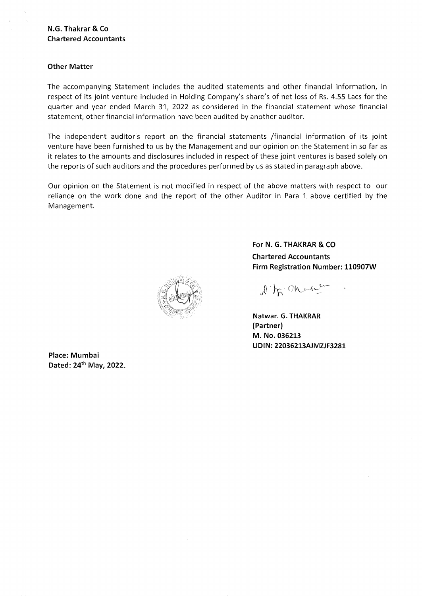#### **Other Matter**

The accompanying Statement includes the audited statements and other financial information, in respect of its joint venture included in Holding Company's share's of net loss of Rs. 4.55 Lacs for the quarter and year ended March 31, 2022 as considered in the financial statement whose financial statement, other financial information have been audited by another auditor.

The independent auditor's report on the financial statements /financial information of its joint venture have been furnished to us by the Management and our opinion on the Statement in so far as it relates to the amounts and disclosures included in respect of these joint ventures is based solely on the reports of such auditors and the procedures performed by us as stated in paragraph above.

Our opinion on the Statement is not modified in respect of the above matters with respect to our reliance on the work done and the report of the other Auditor in Para 1 above certified by the Management.

**For N. G. THAKRAR & CO Chartered Accountants Firm Registration Number: 110907W** 

 $\sqrt{h}$  on  $\frac{1}{2}$ 

**Natwar. G. THAKRAR (Partner) M. No. 036213 UDIN: 22036213AJMZJF3281** 

**Place: Mumbai Dated:** 24th **May, 2022.**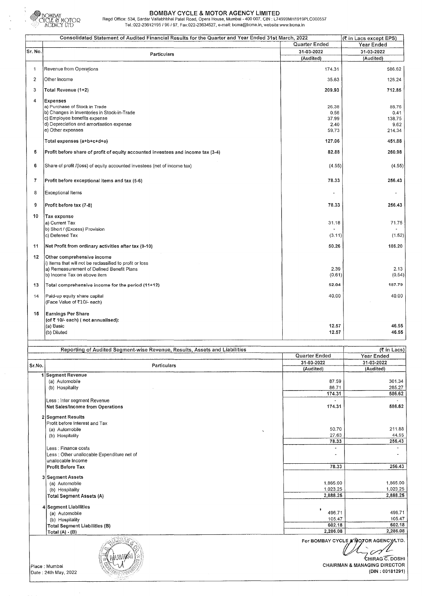

### **BOMBAY CYCLE & MOTOR AGENCY LIMITED**  Regd Office: 534, Sardar Vallabhbhai Patel Road, Opera House, Mumbai -400 007. CIN : L74999MH1919PLC000557

Tei.:022-23612195/96/97, Fax:022-23634527, e-mail: bcma@bcma.in, website:www.bcma.in

|                          | Consolidated Statement of Audited Financial Results for the Quarter and Year Ended 31st March, 2022 |               | (₹ in Lacs except EPS) |
|--------------------------|-----------------------------------------------------------------------------------------------------|---------------|------------------------|
|                          |                                                                                                     | Quarter Ended | Year Ended             |
| Sr. No.                  |                                                                                                     | 31-03-2022    | 31-03-2022             |
|                          | Particulars                                                                                         | (Audited)     | (Audited)              |
|                          |                                                                                                     |               |                        |
| 1                        | Revenue from Operations                                                                             | 174.31        | 586.62                 |
|                          |                                                                                                     |               |                        |
| $\overline{c}$           | Other Income                                                                                        | 35.63         | 126.24                 |
|                          |                                                                                                     |               |                        |
| 3                        | Total Revenue (1+2)                                                                                 | 209.93        | 712.85                 |
| 4                        | <b>Expenses</b>                                                                                     |               |                        |
|                          | a) Purchase of Stock in Trade                                                                       | 26.38         | 88.76                  |
|                          | b) Changes in Inventories in Stock-in-Trade                                                         | 0.56          | 0.41                   |
|                          | c) Employee benefits expense                                                                        | 37.99         | 138.75                 |
|                          | d) Depreciation and amortisation expense                                                            | 2.40          | 9.62                   |
|                          | e) Other expenses                                                                                   | 59.73         | 214.34                 |
|                          |                                                                                                     |               |                        |
|                          | Total expenses (a+b+c+d+e)                                                                          | 127.06        | 451.88                 |
|                          |                                                                                                     |               |                        |
| 5                        | Profit before share of profit of equity accounted investees and income tax (3-4)                    | 82.88         | 260.98                 |
|                          |                                                                                                     |               |                        |
| 6                        | Share of profit /(loss) of equity accounted investees (net of income tax)                           | (4.55)        | (4.55)                 |
|                          |                                                                                                     |               |                        |
|                          |                                                                                                     |               |                        |
| $\overline{\phantom{a}}$ | Profit before exceptional items and tax (5-6)                                                       | 78.33         | 256.43                 |
|                          |                                                                                                     |               |                        |
| 8                        | <b>Exceptional Items</b>                                                                            |               |                        |
|                          |                                                                                                     |               |                        |
| 9                        | Profit before tax (7-8)                                                                             | 78.33         | 256.43                 |
|                          |                                                                                                     |               |                        |
| 10                       | Tax expense                                                                                         |               |                        |
|                          | a) Current Tax                                                                                      | 31.18         | 71.75                  |
|                          | b) Short / (Excess) Provision                                                                       |               |                        |
|                          | c) Deferred Tax                                                                                     | (3.11)        | (1.52)                 |
|                          |                                                                                                     |               |                        |
| 11                       | Net Profit from ordinary activities after tax (9-10)                                                | 50.26         | 186.20                 |
|                          |                                                                                                     |               |                        |
| 12                       | Other comprehensive income                                                                          |               |                        |
|                          | i) Items that will not be reclassified to profit or loss                                            |               |                        |
|                          | a) Remeasurement of Defined Benefit Plans                                                           | 2.39          | 2.13                   |
|                          | b) Income Tax on above item                                                                         | (0.61)        | (0.54)                 |
|                          |                                                                                                     | 52.04         | 187.79                 |
| 13                       | Total comprehensive income for the period (11+12)                                                   |               |                        |
| 14                       | Paid-up equity share capital                                                                        | 40,00         | 40.00                  |
|                          | (Face Value of ₹10/- each)                                                                          |               |                        |
|                          |                                                                                                     |               |                        |
| 15                       | Earnings Per Share                                                                                  |               |                        |
|                          | (of ₹ 10/- each) (not annualised):                                                                  |               |                        |
|                          | (a) Basic                                                                                           | 12.57         | 46.55                  |
|                          | (b) Diluted                                                                                         | 12.57         | 46.55                  |
|                          |                                                                                                     |               |                        |
|                          |                                                                                                     |               |                        |
|                          | Reporting of Audited Segment-wise Revenue, Results, Assets and Liabilities                          |               | (そ in Lacs)            |
|                          |                                                                                                     | Quarter Ended | Year Ended             |
|                          |                                                                                                     |               |                        |
| Sr.No.                   | Particulars                                                                                         | 31-03-2022    | 31-03-2022             |
|                          |                                                                                                     | (Audited)     | (Audited)              |
|                          | 1 Segment Revenue                                                                                   |               |                        |
|                          | (a) Automobile                                                                                      | 87.59         | 301.34                 |
|                          | (b) Hospitality                                                                                     | 86.71         | 285.27                 |
|                          |                                                                                                     | 174.31        | 586.62                 |
|                          | Less : Inter segment Revenue                                                                        |               |                        |
|                          | Net Sales/Income from Operations                                                                    | 174.31        | 586.62                 |

| 2 Segment Results                           |                                      |          |
|---------------------------------------------|--------------------------------------|----------|
| Profit before Interest and Tax              |                                      |          |
| (a) Automobile                              | 50.70<br>$\overline{\phantom{a}}$    | 211.88   |
| (b) Hospitality                             | 27.63                                | 44.55    |
|                                             | 78.33                                | 256.43   |
| Less : Finance costs                        | ٠                                    |          |
| Less : Other unallocable Expenditure net of |                                      |          |
| unallocable Income                          |                                      |          |
| Profit Before Tax                           | 78.33                                | 256.43   |
| 3 Segment Assets                            |                                      |          |
| (a) Automobile                              | 1,865.00                             | 1,865.00 |
| (b) Hospitality                             | 1,023.25                             | 1,023.25 |
| <b>Total Segment Assets (A)</b>             | 2,888.25                             | 2,888.25 |
| 4 Segment Liabilities                       |                                      |          |
| (a) Automobile                              | 496.71                               | 496.71   |
| (b) Hospitality                             | 105.47                               | 105.47   |
| Total Segment Liabilities (B)               | 602.18                               | 602.18   |
| Total $(A) \cdot (B)$                       | 2,286.08                             | 2,286.08 |
|                                             | For BOMBAY CYCLE & MOTOR AGENCY LTD. | $\sim$   |

Place : Mumbai CHAIRMAN & MANAGING DIRECTOR<br>| Date : 24th May, 2022 (DIN : 00181291) Date: 24th May, 2022 ;:'~ :;;,;:?XC'T~.,,,,. (DIN : 00181291)

 $\mathscr{B}$  \

2,286.08 2,286.08<br>For BOMBAY CYCLE & NOTOR AGENCY LTD.

 $\mathscr{O}$  $\overline{C}$ HIRAG C. DOSHI